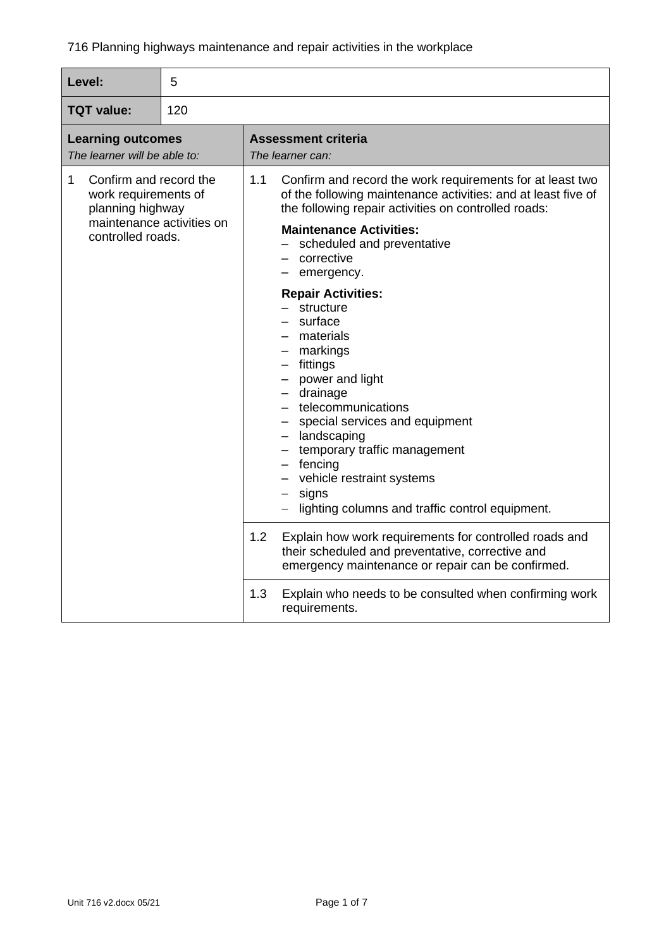| Level:                                                                                                                    | 5 |                                                                                                                                                                                                                                                                                                                                                  |
|---------------------------------------------------------------------------------------------------------------------------|---|--------------------------------------------------------------------------------------------------------------------------------------------------------------------------------------------------------------------------------------------------------------------------------------------------------------------------------------------------|
| 120<br><b>TQT value:</b>                                                                                                  |   |                                                                                                                                                                                                                                                                                                                                                  |
| <b>Learning outcomes</b><br>The learner will be able to:                                                                  |   | <b>Assessment criteria</b><br>The learner can:                                                                                                                                                                                                                                                                                                   |
| Confirm and record the<br>1<br>work requirements of<br>planning highway<br>maintenance activities on<br>controlled roads. |   | 1.1<br>Confirm and record the work requirements for at least two<br>of the following maintenance activities: and at least five of<br>the following repair activities on controlled roads:<br><b>Maintenance Activities:</b><br>scheduled and preventative<br>- corrective<br>emergency.                                                          |
|                                                                                                                           |   | <b>Repair Activities:</b><br>structure<br>surface<br>materials<br>- markings<br>fittings<br>- power and light<br>drainage<br>- telecommunications<br>special services and equipment<br>- landscaping<br>- temporary traffic management<br>$-$ fencing<br>- vehicle restraint systems<br>signs<br>lighting columns and traffic control equipment. |
|                                                                                                                           |   | 1.2<br>Explain how work requirements for controlled roads and<br>their scheduled and preventative, corrective and<br>emergency maintenance or repair can be confirmed.                                                                                                                                                                           |
|                                                                                                                           |   | 1.3<br>Explain who needs to be consulted when confirming work<br>requirements.                                                                                                                                                                                                                                                                   |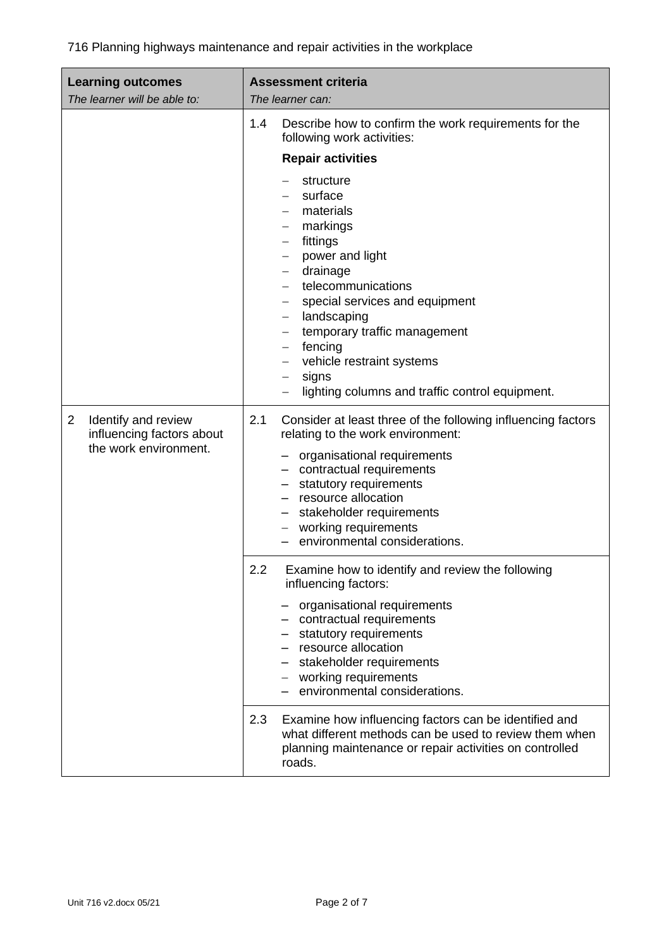| <b>Learning outcomes</b><br>The learner will be able to:                                    | <b>Assessment criteria</b><br>The learner can:                                                                                                                                                                                                                                                                                                                                               |
|---------------------------------------------------------------------------------------------|----------------------------------------------------------------------------------------------------------------------------------------------------------------------------------------------------------------------------------------------------------------------------------------------------------------------------------------------------------------------------------------------|
|                                                                                             | 1.4<br>Describe how to confirm the work requirements for the<br>following work activities:<br><b>Repair activities</b>                                                                                                                                                                                                                                                                       |
|                                                                                             | structure<br>surface<br>materials<br>markings<br>fittings<br>$\qquad \qquad -$<br>power and light<br>drainage<br>telecommunications<br>special services and equipment<br>$\qquad \qquad -$<br>landscaping<br>$\qquad \qquad -$<br>temporary traffic management<br>$\qquad \qquad -$<br>fencing<br>vehicle restraint systems<br>signs<br>—<br>lighting columns and traffic control equipment. |
| Identify and review<br>$\overline{2}$<br>influencing factors about<br>the work environment. | 2.1<br>Consider at least three of the following influencing factors<br>relating to the work environment:<br>organisational requirements<br>- contractual requirements<br>statutory requirements<br>resource allocation<br>- stakeholder requirements<br>- working requirements<br>environmental considerations.                                                                              |
|                                                                                             | 2.2<br>Examine how to identify and review the following<br>influencing factors:<br>organisational requirements<br>contractual requirements<br>- statutory requirements<br>- resource allocation<br>- stakeholder requirements<br>- working requirements<br>environmental considerations.                                                                                                     |
|                                                                                             | Examine how influencing factors can be identified and<br>2.3<br>what different methods can be used to review them when<br>planning maintenance or repair activities on controlled<br>roads.                                                                                                                                                                                                  |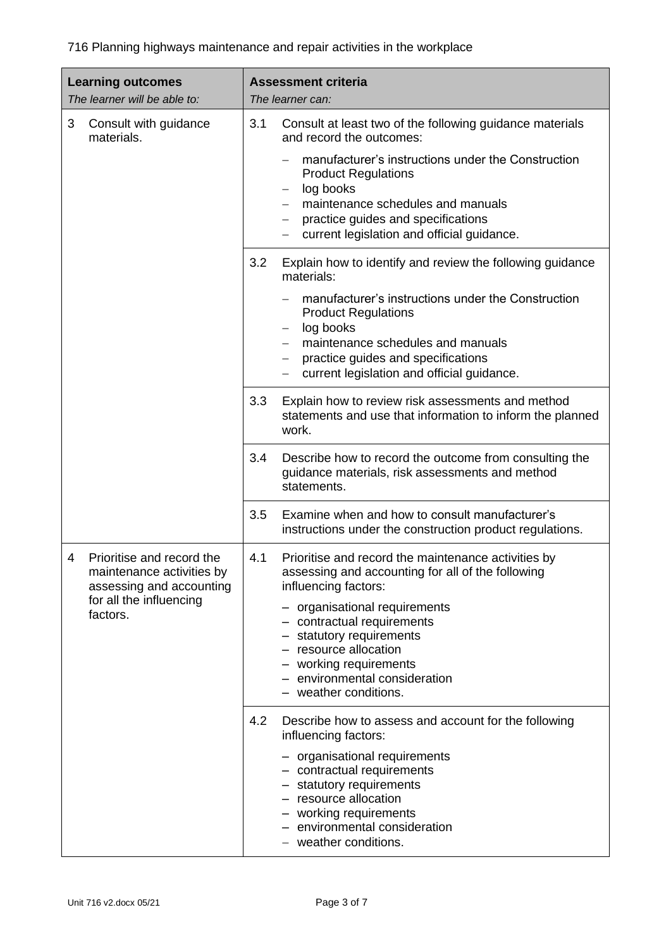| <b>Learning outcomes</b><br>The learner will be able to:                                | <b>Assessment criteria</b><br>The learner can:                                                                                                                                                                              |
|-----------------------------------------------------------------------------------------|-----------------------------------------------------------------------------------------------------------------------------------------------------------------------------------------------------------------------------|
| 3<br>Consult with guidance<br>materials.                                                | 3.1<br>Consult at least two of the following guidance materials<br>and record the outcomes:                                                                                                                                 |
|                                                                                         | manufacturer's instructions under the Construction<br><b>Product Regulations</b><br>log books<br>maintenance schedules and manuals<br>practice guides and specifications<br>current legislation and official guidance.<br>— |
|                                                                                         | 3.2<br>Explain how to identify and review the following guidance<br>materials:                                                                                                                                              |
|                                                                                         | manufacturer's instructions under the Construction<br><b>Product Regulations</b><br>log books<br>maintenance schedules and manuals                                                                                          |
|                                                                                         | practice guides and specifications<br>current legislation and official guidance.                                                                                                                                            |
|                                                                                         | 3.3<br>Explain how to review risk assessments and method                                                                                                                                                                    |
|                                                                                         | statements and use that information to inform the planned<br>work.                                                                                                                                                          |
|                                                                                         | 3.4<br>Describe how to record the outcome from consulting the<br>guidance materials, risk assessments and method<br>statements.                                                                                             |
|                                                                                         | Examine when and how to consult manufacturer's<br>3.5<br>instructions under the construction product regulations.                                                                                                           |
| Prioritise and record the<br>4<br>maintenance activities by<br>assessing and accounting | 4.1<br>Prioritise and record the maintenance activities by<br>assessing and accounting for all of the following<br>influencing factors:                                                                                     |
| for all the influencing<br>factors.                                                     | - organisational requirements<br>- contractual requirements<br>- statutory requirements<br>- resource allocation<br>- working requirements<br>- environmental consideration<br>- weather conditions.                        |
|                                                                                         | 4.2<br>Describe how to assess and account for the following<br>influencing factors:                                                                                                                                         |
|                                                                                         | - organisational requirements<br>- contractual requirements<br>- statutory requirements<br>- resource allocation<br>- working requirements<br>- environmental consideration<br>- weather conditions.                        |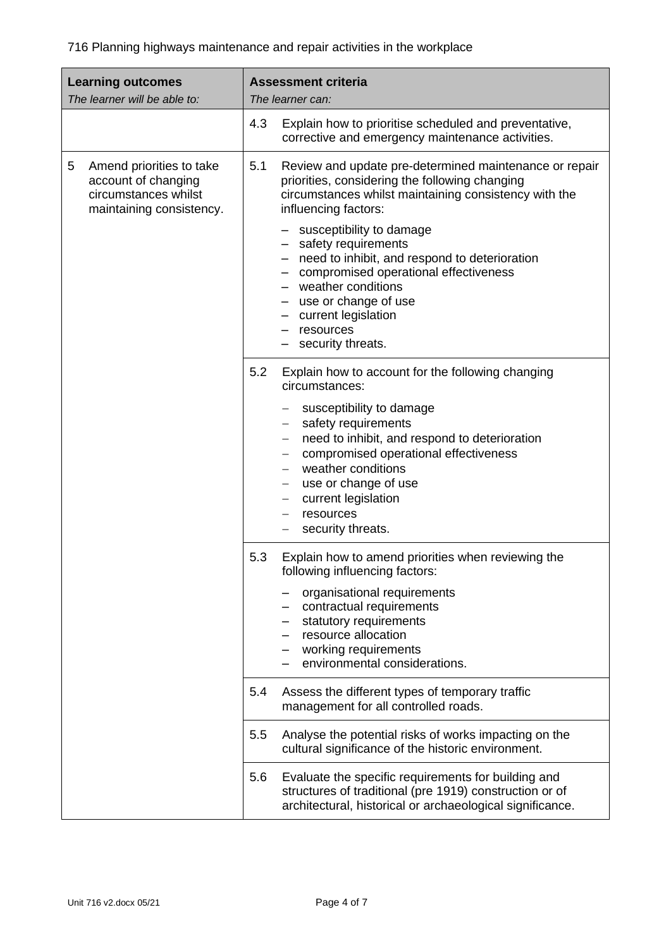| <b>Learning outcomes</b><br>The learner will be able to:                                                 | <b>Assessment criteria</b><br>The learner can:                                                                                                                                                                                                                                                                                                                                                                                                                   |
|----------------------------------------------------------------------------------------------------------|------------------------------------------------------------------------------------------------------------------------------------------------------------------------------------------------------------------------------------------------------------------------------------------------------------------------------------------------------------------------------------------------------------------------------------------------------------------|
|                                                                                                          | 4.3<br>Explain how to prioritise scheduled and preventative,<br>corrective and emergency maintenance activities.                                                                                                                                                                                                                                                                                                                                                 |
| 5<br>Amend priorities to take<br>account of changing<br>circumstances whilst<br>maintaining consistency. | 5.1<br>Review and update pre-determined maintenance or repair<br>priorities, considering the following changing<br>circumstances whilst maintaining consistency with the<br>influencing factors:<br>susceptibility to damage<br>- safety requirements<br>- need to inhibit, and respond to deterioration<br>- compromised operational effectiveness<br>- weather conditions<br>- use or change of use<br>- current legislation<br>resources<br>security threats. |
|                                                                                                          | 5.2<br>Explain how to account for the following changing<br>circumstances:<br>susceptibility to damage<br>safety requirements<br>need to inhibit, and respond to deterioration<br>compromised operational effectiveness<br>weather conditions<br>use or change of use<br>$\overline{\phantom{m}}$<br>current legislation<br>$\qquad \qquad -$<br>resources<br>security threats.                                                                                  |
|                                                                                                          | 5.3<br>Explain how to amend priorities when reviewing the<br>following influencing factors:<br>organisational requirements<br>contractual requirements<br>statutory requirements<br>resource allocation<br>working requirements<br>environmental considerations.                                                                                                                                                                                                 |
|                                                                                                          | 5.4<br>Assess the different types of temporary traffic<br>management for all controlled roads.                                                                                                                                                                                                                                                                                                                                                                   |
|                                                                                                          | Analyse the potential risks of works impacting on the<br>5.5<br>cultural significance of the historic environment.                                                                                                                                                                                                                                                                                                                                               |
|                                                                                                          | Evaluate the specific requirements for building and<br>5.6<br>structures of traditional (pre 1919) construction or of<br>architectural, historical or archaeological significance.                                                                                                                                                                                                                                                                               |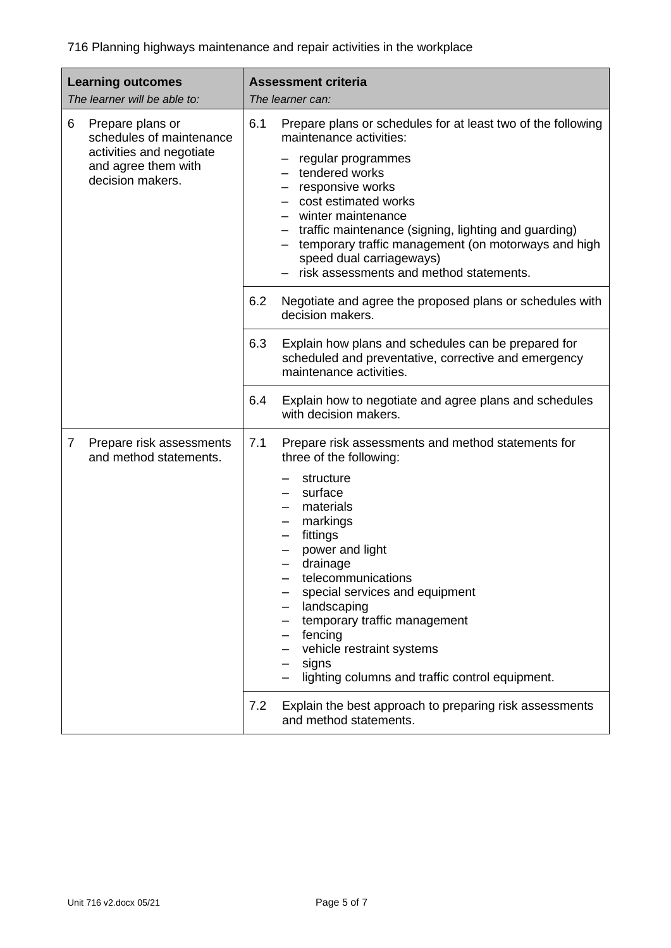| <b>Learning outcomes</b><br>The learner will be able to:                                                                 |            | <b>Assessment criteria</b><br>The learner can:                                                                                                                                                                                                                                                                                                                                                                                                                          |
|--------------------------------------------------------------------------------------------------------------------------|------------|-------------------------------------------------------------------------------------------------------------------------------------------------------------------------------------------------------------------------------------------------------------------------------------------------------------------------------------------------------------------------------------------------------------------------------------------------------------------------|
| 6<br>Prepare plans or<br>schedules of maintenance<br>activities and negotiate<br>and agree them with<br>decision makers. | 6.1<br>6.2 | Prepare plans or schedules for at least two of the following<br>maintenance activities:<br>regular programmes<br>tendered works<br>responsive works<br>cost estimated works<br>winter maintenance<br>traffic maintenance (signing, lighting and guarding)<br>temporary traffic management (on motorways and high<br>speed dual carriageways)<br>risk assessments and method statements.<br>Negotiate and agree the proposed plans or schedules with<br>decision makers. |
|                                                                                                                          | 6.3        | Explain how plans and schedules can be prepared for<br>scheduled and preventative, corrective and emergency<br>maintenance activities.                                                                                                                                                                                                                                                                                                                                  |
|                                                                                                                          | 6.4        | Explain how to negotiate and agree plans and schedules<br>with decision makers.                                                                                                                                                                                                                                                                                                                                                                                         |
| Prepare risk assessments<br>7<br>and method statements.                                                                  | 7.1        | Prepare risk assessments and method statements for<br>three of the following:<br>structure<br>surface<br>materials<br>markings<br>fittings<br>power and light<br>drainage<br>telecommunications<br>special services and equipment<br>landscaping<br>temporary traffic management<br>fencing<br>vehicle restraint systems<br>signs<br>lighting columns and traffic control equipment.                                                                                    |
|                                                                                                                          | 7.2        | Explain the best approach to preparing risk assessments<br>and method statements.                                                                                                                                                                                                                                                                                                                                                                                       |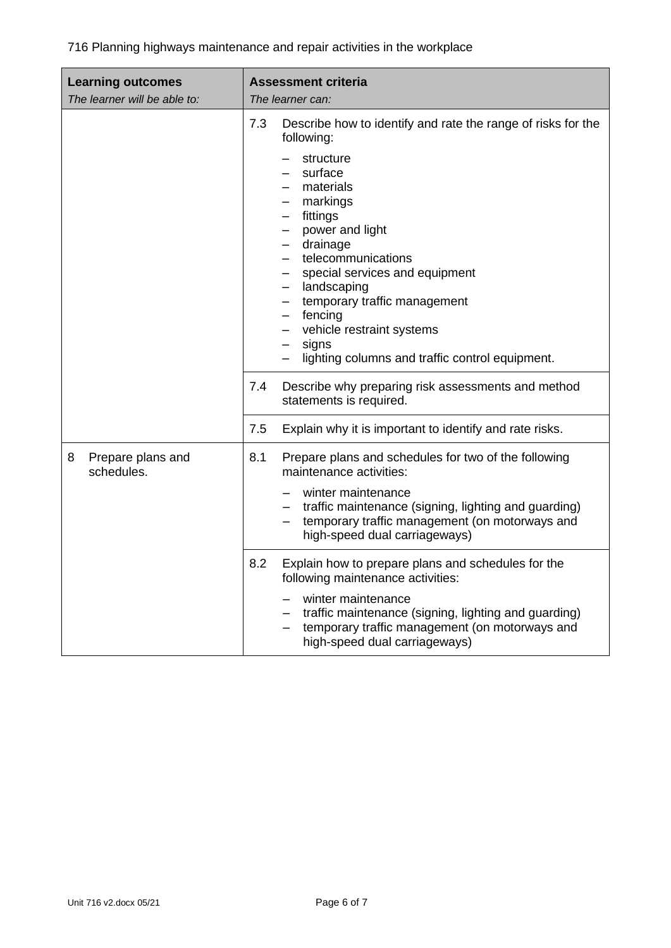| <b>Learning outcomes</b><br>The learner will be able to: | <b>Assessment criteria</b><br>The learner can:                                                                                                                                                                                                                                                                                                                                                |  |
|----------------------------------------------------------|-----------------------------------------------------------------------------------------------------------------------------------------------------------------------------------------------------------------------------------------------------------------------------------------------------------------------------------------------------------------------------------------------|--|
|                                                          | Describe how to identify and rate the range of risks for the<br>7.3<br>following:<br>structure<br>surface<br>materials<br>markings<br>fittings<br>power and light<br>drainage<br>telecommunications<br>special services and equipment<br>landscaping<br>temporary traffic management<br>fencing<br>vehicle restraint systems<br>signs<br>—<br>lighting columns and traffic control equipment. |  |
|                                                          | 7.4<br>Describe why preparing risk assessments and method<br>statements is required.                                                                                                                                                                                                                                                                                                          |  |
|                                                          | 7.5<br>Explain why it is important to identify and rate risks.                                                                                                                                                                                                                                                                                                                                |  |
| Prepare plans and<br>8<br>schedules.                     | 8.1<br>Prepare plans and schedules for two of the following<br>maintenance activities:<br>winter maintenance<br>traffic maintenance (signing, lighting and guarding)<br>temporary traffic management (on motorways and<br>high-speed dual carriageways)                                                                                                                                       |  |
|                                                          | 8.2<br>Explain how to prepare plans and schedules for the<br>following maintenance activities:<br>winter maintenance<br>traffic maintenance (signing, lighting and guarding)<br>temporary traffic management (on motorways and<br>high-speed dual carriageways)                                                                                                                               |  |